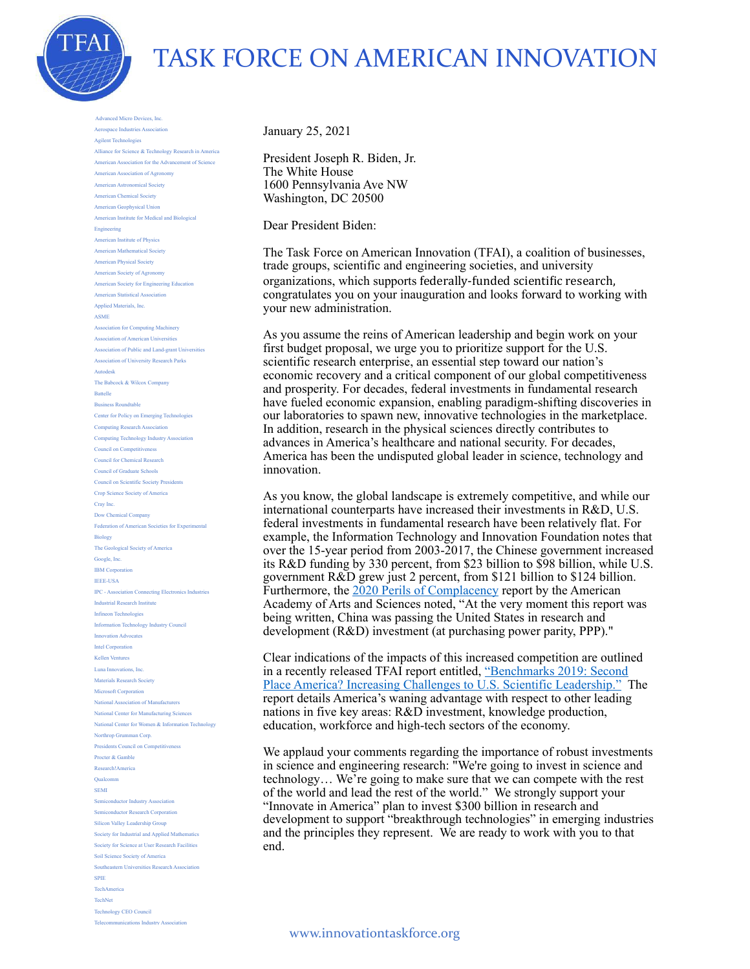

## TASK FORCE ON AMERICAN INNOVATION

 Advanced Micro Devices, Inc. Aerospace Industries Association Agilent Technologies Alliance for Science & Technology Research in America American Association for the Advancement of Science American Association of Agronomy American Astronomical Society American Chemical Society American Geophysical Union American Institute for Medical and Biological Engineering American Institute of Physics American Mathematical Society American Physical Society American Society of Agronomy American Society for Engineering Education American Statistical Association Applied Materials, Inc. ASME Association for Computing Machinery Association of American Universities Association of Public and Land-grant Universities Association of University Research Parks Autodesk The Babcock & Wilcox Company Battelle Business Roundtable Center for Policy on Emerging Technologies Computing Research Association Computing Technology Industry Association Council on Competitiveness Council for Chemical Research Council of Graduate Schools Council on Scientific Society Presidents Crop Science Society of America Cray Inc. Dow Chemical Company Federation of American Societies for Experimental Biology The Geological Society of America Google, Inc. IBM Corporation IEEE-USA IPC - Association Connecting Electronics Industries Industrial Research Institute Infineon Technologies Information Technology Industry Council Innovation Advocates Intel Corporation Kellen Ventures Luna Innovations, Inc. Materials Research Society Microsoft Corporation National Association of Manufacturers National Center for Manufacturing Sciences National Center for Women & Information Technology Northrop Grumman Corp. Presidents Council on Competitivene Procter & Gamble Research!America Qualcomm SEMI Semiconductor Industry Association Semiconductor Research Corporation Silicon Valley Leadership Group Society for Industrial and Applied Mathematics Society for Science at User Research Facilities Soil Science Society of America Southeastern Universities Research Association SPIE TechAmerica TechNet Technology CEO Council Telecommunications Industry Association

January 25, 2021

President Joseph R. Biden, Jr. The White House 1600 Pennsylvania Ave NW Washington, DC 20500

Dear President Biden:

The Task Force on American Innovation (TFAI), a coalition of businesses, trade groups, scientific and engineering societies, and university organizations, which supports federally-funded scientific research, congratulates you on your inauguration and looks forward to working with your new administration.

As you assume the reins of American leadership and begin work on your first budget proposal, we urge you to prioritize support for the U.S. scientific research enterprise, an essential step toward our nation's economic recovery and a critical component of our global competitiveness and prosperity. For decades, federal investments in fundamental research have fueled economic expansion, enabling paradigm-shifting discoveries in our laboratories to spawn new, innovative technologies in the marketplace. In addition, research in the physical sciences directly contributes to advances in America's healthcare and national security. For decades, America has been the undisputed global leader in science, technology and innovation.

As you know, the global landscape is extremely competitive, and while our international counterparts have increased their investments in R&D, U.S. federal investments in fundamental research have been relatively flat. For example, the Information Technology and Innovation Foundation notes that over the 15-year period from 2003-2017, the Chinese government increased its R&D funding by 330 percent, from \$23 billion to \$98 billion, while U.S. government R&D grew just 2 percent, from \$121 billion to \$124 billion. Furthermore, the [2020 Perils of Complacency](https://www.amacad.org/sites/default/files/publication/downloads/Perils-of-Complacency_Report-Brief_4.pdf) report by the American Academy of Arts and Sciences noted, "At the very moment this report was being written, China was passing the United States in research and development (R&D) investment (at purchasing power parity, PPP)."

Clear indications of the impacts of this increased competition are outlined in a recently released TFAI report entitled, "Benchmarks 2019: Second [Place America? Increasing Challenges to U.S. Scientific Leadership." T](http://www.innovationtaskforce.org/benchmarks2019/)he report details America's waning advantage with respect to other leading nations in five key areas: R&D investment, knowledge production, education, workforce and high-tech sectors of the economy.

We applaud your comments regarding the importance of robust investments in science and engineering research: "We're going to invest in science and technology… We're going to make sure that we can compete with the rest of the world and lead the rest of the world." We strongly support your "Innovate in America" plan to invest \$300 billion in research and development to support "breakthrough technologies" in emerging industries and the principles they represent. We are ready to work with you to that end.